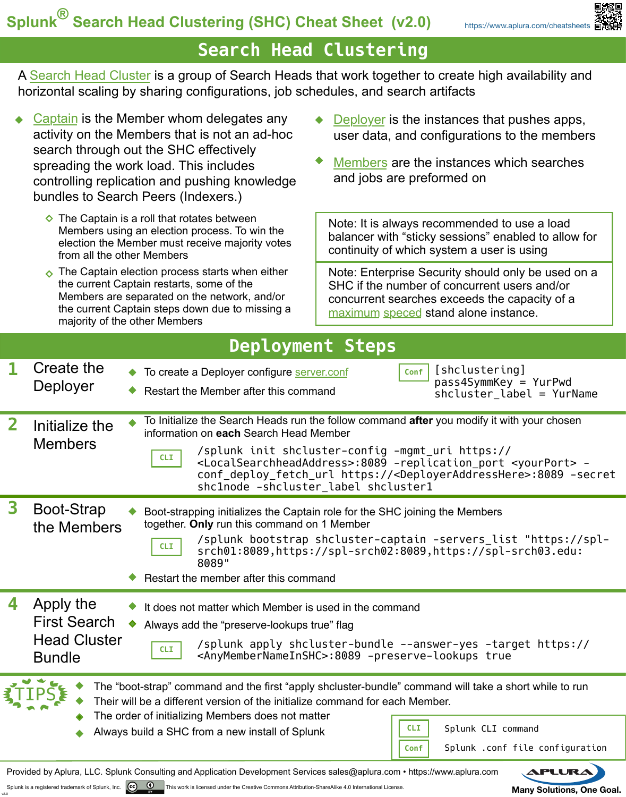## **Search Head Clustering**

[A Search Head Cluster is a group of Search Heads that work together to create high availability and](http://docs.splunk.com/Documentation/Splunk/latest/DistSearch/AboutSHC)  horizontal scaling by sharing configurations, job schedules, and search artifacts

- Captain is the Member whom delegates any activity on the Members that is not an ad-hoc search through out the SHC effectively spreading the work load. This includes [controlling replication and pushing knowledge](http://docs.splunk.com/Documentation/Splunk/latest/DistSearch/SHCarchitecture#Search_head_cluster_captain)  bundles to Search Peers (Indexers.)
	- $\Diamond$  The Captain is a roll that rotates between Members using an election process. To win the election the Member must receive majority votes from all the other Members
	- $\bullet$  The Captain election process starts when either the current Captain restarts, some of the Members are separated on the network, and/or the current Captain steps down due to missing a majority of the other Members

v2.0

- Deployer is the instances that pushes apps, [user data, and configurations to the members](http://docs.splunk.com/Documentation/Splunk/latest/DistSearch/PropagateSHCconfigurationchanges)
- [Members are the instances which searches](http://docs.splunk.com/Splexicon:Clustermember)  and jobs are preformed on

Note: It is always recommended to use a load balancer with "sticky sessions" enabled to allow for continuity of which system a user is using

[Note: Enterprise Security should only be used on a](http://docs.splunk.com/Documentation/Splunk/latest/Capacity/Referencehardware)  SHC if the number of concurrent users and/or concurrent searches exceeds the capacity of a maximum speced stand alone instance.

| <b>Deployment Steps</b>                                                                                                                                                |                                                                          |                                                                                                                                                                                                                                                                                                                                                                                                                                                |  |
|------------------------------------------------------------------------------------------------------------------------------------------------------------------------|--------------------------------------------------------------------------|------------------------------------------------------------------------------------------------------------------------------------------------------------------------------------------------------------------------------------------------------------------------------------------------------------------------------------------------------------------------------------------------------------------------------------------------|--|
|                                                                                                                                                                        | Create the<br>Deployer                                                   | [shclustering]<br>Conf<br>To create a Deployer configure server.conf<br>pass4SymmKey = YurPwd<br>Restart the Member after this command<br>$shcluster$ label = YurName                                                                                                                                                                                                                                                                          |  |
| $\mathbf{2}$                                                                                                                                                           | Initialize the<br><b>Members</b>                                         | To Initialize the Search Heads run the follow command after you modify it with your chosen<br>information on each Search Head Member<br>/splunk init shcluster-config -mgmt_uri https://<br><b>CLI</b><br><localsearchheadaddress>:8089 -replication_port <yourport> -<br/>conf_deploy_fetch_url https://<deployeraddresshere>:8089 -secret<br/>shclnode -shcluster label shcluster1</deployeraddresshere></yourport></localsearchheadaddress> |  |
| 3                                                                                                                                                                      | Boot-Strap<br>the Members                                                | Boot-strapping initializes the Captain role for the SHC joining the Members<br>together. Only run this command on 1 Member<br>/splunk bootstrap shcluster-captain -servers list "https://spl-<br><b>CLI</b><br>srch01:8089,https://spl-srch02:8089,https://spl-srch03.edu:<br>8089"<br>Restart the member after this command                                                                                                                   |  |
| 4                                                                                                                                                                      | Apply the<br><b>First Search</b><br><b>Head Cluster</b><br><b>Bundle</b> | It does not matter which Member is used in the command<br>Always add the "preserve-lookups true" flag<br>/splunk apply shcluster-bundle --answer-yes -target https://<br>CLI<br><anymembernameinshc>:8089 -preserve-lookups true</anymembernameinshc>                                                                                                                                                                                          |  |
|                                                                                                                                                                        |                                                                          | The "boot-strap" command and the first "apply shcluster-bundle" command will take a short while to run<br>Their will be a different version of the initialize command for each Member.<br>The order of initializing Members does not matter<br><b>CLI</b><br>Splunk CLI command<br>Always build a SHC from a new install of Splunk<br>Splunk .conf file configuration<br>Conf                                                                  |  |
| <b>APLURA</b><br>Provided by Aplura, LLC. Splunk Consulting and Application Development Services sales@aplura.com • https://www.aplura.com<br>$\overline{\phantom{a}}$ |                                                                          |                                                                                                                                                                                                                                                                                                                                                                                                                                                |  |

Splunk is a registered trademark of Splunk, Inc. **COCCU** [This work is licensed under the Creative Commons Attribution-ShareAlike 4.0 International License.](https://creativecommons.org/licenses/by-sa/4.0/)<br>Channel License and License and License of the Goal.



<https://www.aplura.com/cheatsheets>